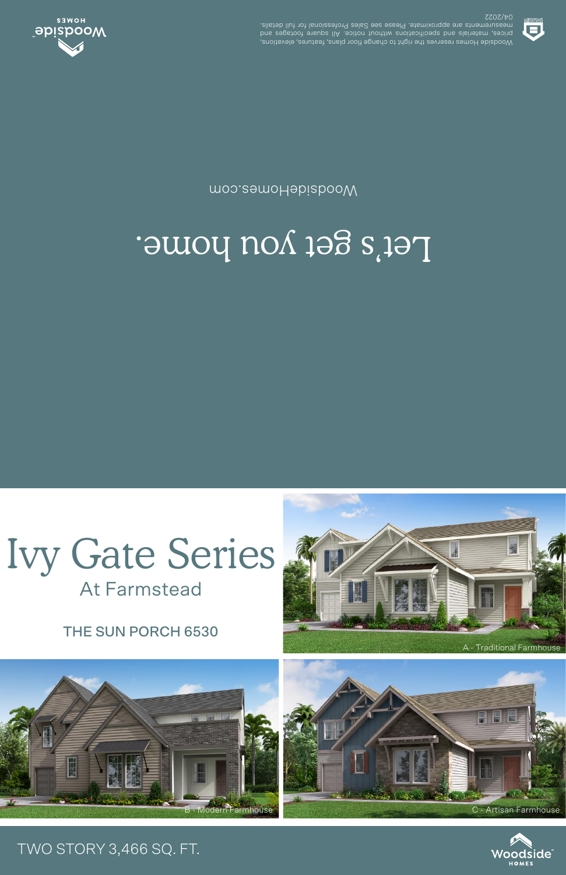THE SUN PORCH 6530

**At Farmstead** 



## Let's get you home.

moo.eamoHabiabooW



**SSOS/40** .elisteb llut tot lanoiszetot9 zels2 ees essel9 .etamixotqqs ets stnemetussem prices, materials and specifications unditive and in the contract of the contract of the contract of the contr<br>pure contract of the contract of the contract of the contract of the contract of the contract of the contract o Woodside Homes reserves the right to change floor plans, features, elevations,



## TWO STORY 3,466 SQ. FT.